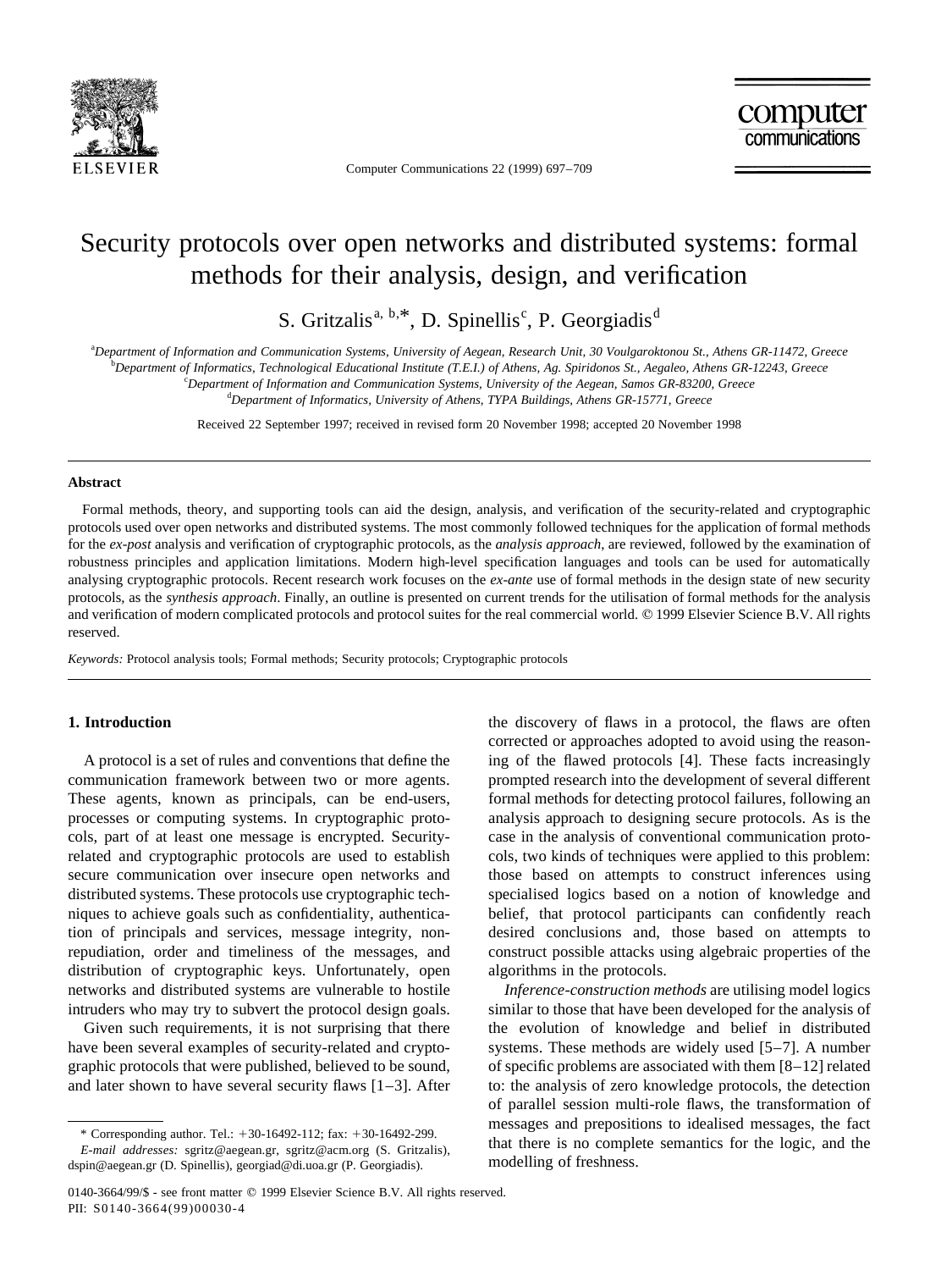

Computer Communications 22 (1999) 697–709

# Security protocols over open networks and distributed systems: formal methods for their analysis, design, and verification

S. Gritzalis<sup>a, b,\*</sup>, D. Spinellis<sup>c</sup>, P. Georgiadis<sup>d</sup>

a *Department of Information and Communication Systems, University of Aegean, Research Unit, 30 Voulgaroktonou St., Athens GR-11472, Greece*

b *Department of Informatics, Technological Educational Institute (T.E.I.) of Athens, Ag. Spiridonos St., Aegaleo, Athens GR-12243, Greece*

c *Department of Information and Communication Systems, University of the Aegean, Samos GR-83200, Greece*

d *Department of Informatics, University of Athens, TYPA Buildings, Athens GR-15771, Greece*

Received 22 September 1997; received in revised form 20 November 1998; accepted 20 November 1998

#### **Abstract**

Formal methods, theory, and supporting tools can aid the design, analysis, and verification of the security-related and cryptographic protocols used over open networks and distributed systems. The most commonly followed techniques for the application of formal methods for the *ex*-*post* analysis and verification of cryptographic protocols, as the *analysis approach*, are reviewed, followed by the examination of robustness principles and application limitations. Modern high-level specification languages and tools can be used for automatically analysing cryptographic protocols. Recent research work focuses on the *ex*-*ante* use of formal methods in the design state of new security protocols, as the *synthesis approach*. Finally, an outline is presented on current trends for the utilisation of formal methods for the analysis and verification of modern complicated protocols and protocol suites for the real commercial world. © 1999 Elsevier Science B.V. All rights reserved.

*Keywords:* Protocol analysis tools; Formal methods; Security protocols; Cryptographic protocols

## **1. Introduction**

A protocol is a set of rules and conventions that define the communication framework between two or more agents. These agents, known as principals, can be end-users, processes or computing systems. In cryptographic protocols, part of at least one message is encrypted. Securityrelated and cryptographic protocols are used to establish secure communication over insecure open networks and distributed systems. These protocols use cryptographic techniques to achieve goals such as confidentiality, authentication of principals and services, message integrity, nonrepudiation, order and timeliness of the messages, and distribution of cryptographic keys. Unfortunately, open networks and distributed systems are vulnerable to hostile intruders who may try to subvert the protocol design goals.

Given such requirements, it is not surprising that there have been several examples of security-related and cryptographic protocols that were published, believed to be sound, and later shown to have several security flaws [1–3]. After

0140-3664/99/\$ - see front matter © 1999 Elsevier Science B.V. All rights reserved. PII: S0140-3664(99)00030-4

the discovery of flaws in a protocol, the flaws are often corrected or approaches adopted to avoid using the reasoning of the flawed protocols [4]. These facts increasingly prompted research into the development of several different formal methods for detecting protocol failures, following an analysis approach to designing secure protocols. As is the case in the analysis of conventional communication protocols, two kinds of techniques were applied to this problem: those based on attempts to construct inferences using specialised logics based on a notion of knowledge and belief, that protocol participants can confidently reach desired conclusions and, those based on attempts to construct possible attacks using algebraic properties of the algorithms in the protocols.

*Inference*-*construction methods* are utilising model logics similar to those that have been developed for the analysis of the evolution of knowledge and belief in distributed systems. These methods are widely used [5–7]. A number of specific problems are associated with them [8–12] related to: the analysis of zero knowledge protocols, the detection of parallel session multi-role flaws, the transformation of messages and prepositions to idealised messages, the fact that there is no complete semantics for the logic, and the modelling of freshness.

<sup>\*</sup> Corresponding author. Tel.: 130-16492-112; fax: 130-16492-299. *E-mail addresses:* sgritz@aegean.gr, sgritz@acm.org (S. Gritzalis), dspin@aegean.gr (D. Spinellis), georgiad@di.uoa.gr (P. Georgiadis).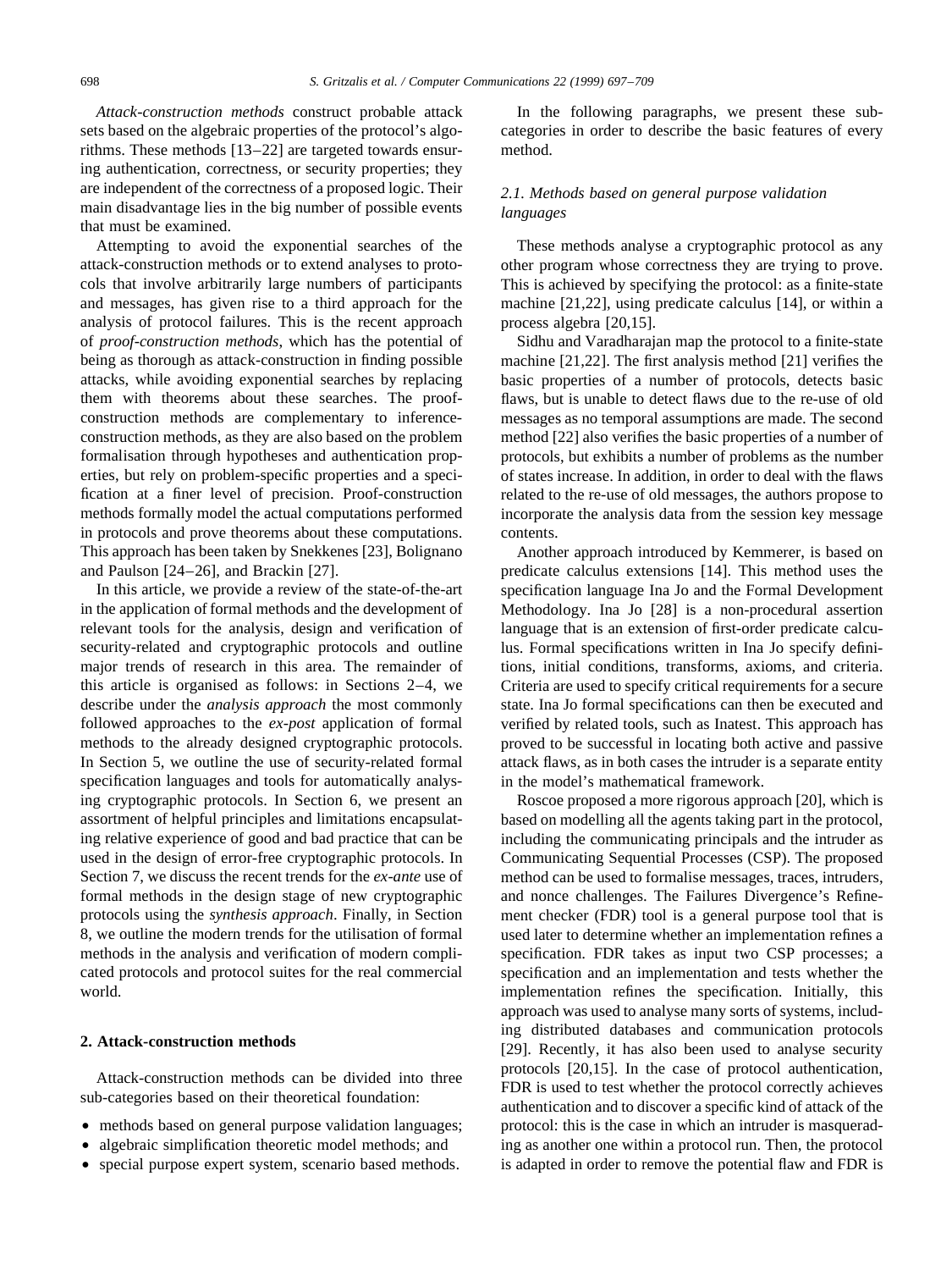*Attack*-*construction methods* construct probable attack sets based on the algebraic properties of the protocol's algorithms. These methods [13–22] are targeted towards ensuring authentication, correctness, or security properties; they are independent of the correctness of a proposed logic. Their main disadvantage lies in the big number of possible events that must be examined.

Attempting to avoid the exponential searches of the attack-construction methods or to extend analyses to protocols that involve arbitrarily large numbers of participants and messages, has given rise to a third approach for the analysis of protocol failures. This is the recent approach of *proof*-*construction methods*, which has the potential of being as thorough as attack-construction in finding possible attacks, while avoiding exponential searches by replacing them with theorems about these searches. The proofconstruction methods are complementary to inferenceconstruction methods, as they are also based on the problem formalisation through hypotheses and authentication properties, but rely on problem-specific properties and a specification at a finer level of precision. Proof-construction methods formally model the actual computations performed in protocols and prove theorems about these computations. This approach has been taken by Snekkenes [23], Bolignano and Paulson [24–26], and Brackin [27].

In this article, we provide a review of the state-of-the-art in the application of formal methods and the development of relevant tools for the analysis, design and verification of security-related and cryptographic protocols and outline major trends of research in this area. The remainder of this article is organised as follows: in Sections 2–4, we describe under the *analysis approach* the most commonly followed approaches to the *ex*-*post* application of formal methods to the already designed cryptographic protocols. In Section 5, we outline the use of security-related formal specification languages and tools for automatically analysing cryptographic protocols. In Section 6, we present an assortment of helpful principles and limitations encapsulating relative experience of good and bad practice that can be used in the design of error-free cryptographic protocols. In Section 7, we discuss the recent trends for the *ex*-*ante* use of formal methods in the design stage of new cryptographic protocols using the *synthesis approach*. Finally, in Section 8, we outline the modern trends for the utilisation of formal methods in the analysis and verification of modern complicated protocols and protocol suites for the real commercial world.

### **2. Attack-construction methods**

Attack-construction methods can be divided into three sub-categories based on their theoretical foundation:

- methods based on general purpose validation languages;
- algebraic simplification theoretic model methods; and
- special purpose expert system, scenario based methods.

In the following paragraphs, we present these subcategories in order to describe the basic features of every method.

# *2.1. Methods based on general purpose validation languages*

These methods analyse a cryptographic protocol as any other program whose correctness they are trying to prove. This is achieved by specifying the protocol: as a finite-state machine [21,22], using predicate calculus [14], or within a process algebra [20,15].

Sidhu and Varadharajan map the protocol to a finite-state machine [21,22]. The first analysis method [21] verifies the basic properties of a number of protocols, detects basic flaws, but is unable to detect flaws due to the re-use of old messages as no temporal assumptions are made. The second method [22] also verifies the basic properties of a number of protocols, but exhibits a number of problems as the number of states increase. In addition, in order to deal with the flaws related to the re-use of old messages, the authors propose to incorporate the analysis data from the session key message contents.

Another approach introduced by Kemmerer, is based on predicate calculus extensions [14]. This method uses the specification language Ina Jo and the Formal Development Methodology. Ina Jo [28] is a non-procedural assertion language that is an extension of first-order predicate calculus. Formal specifications written in Ina Jo specify definitions, initial conditions, transforms, axioms, and criteria. Criteria are used to specify critical requirements for a secure state. Ina Jo formal specifications can then be executed and verified by related tools, such as Inatest. This approach has proved to be successful in locating both active and passive attack flaws, as in both cases the intruder is a separate entity in the model's mathematical framework.

Roscoe proposed a more rigorous approach [20], which is based on modelling all the agents taking part in the protocol, including the communicating principals and the intruder as Communicating Sequential Processes (CSP). The proposed method can be used to formalise messages, traces, intruders, and nonce challenges. The Failures Divergence's Refinement checker (FDR) tool is a general purpose tool that is used later to determine whether an implementation refines a specification. FDR takes as input two CSP processes; a specification and an implementation and tests whether the implementation refines the specification. Initially, this approach was used to analyse many sorts of systems, including distributed databases and communication protocols [29]. Recently, it has also been used to analyse security protocols [20,15]. In the case of protocol authentication, FDR is used to test whether the protocol correctly achieves authentication and to discover a specific kind of attack of the protocol: this is the case in which an intruder is masquerading as another one within a protocol run. Then, the protocol is adapted in order to remove the potential flaw and FDR is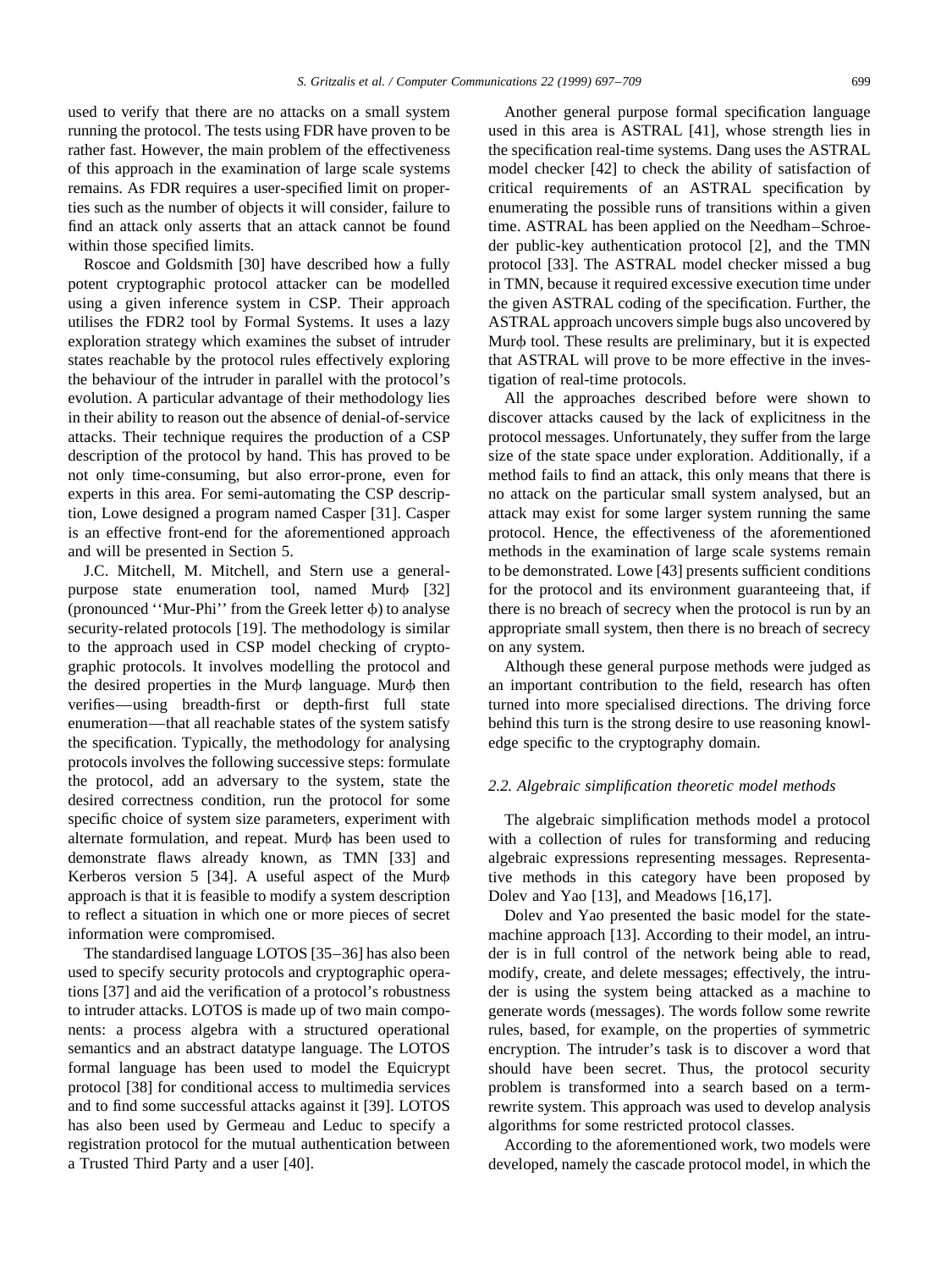used to verify that there are no attacks on a small system running the protocol. The tests using FDR have proven to be rather fast. However, the main problem of the effectiveness of this approach in the examination of large scale systems remains. As FDR requires a user-specified limit on properties such as the number of objects it will consider, failure to find an attack only asserts that an attack cannot be found within those specified limits.

Roscoe and Goldsmith [30] have described how a fully potent cryptographic protocol attacker can be modelled using a given inference system in CSP. Their approach utilises the FDR2 tool by Formal Systems. It uses a lazy exploration strategy which examines the subset of intruder states reachable by the protocol rules effectively exploring the behaviour of the intruder in parallel with the protocol's evolution. A particular advantage of their methodology lies in their ability to reason out the absence of denial-of-service attacks. Their technique requires the production of a CSP description of the protocol by hand. This has proved to be not only time-consuming, but also error-prone, even for experts in this area. For semi-automating the CSP description, Lowe designed a program named Casper [31]. Casper is an effective front-end for the aforementioned approach and will be presented in Section 5.

J.C. Mitchell, M. Mitchell, and Stern use a generalpurpose state enumeration tool, named Mur $\phi$  [32] (pronounced "Mur-Phi" from the Greek letter  $\phi$ ) to analyse security-related protocols [19]. The methodology is similar to the approach used in CSP model checking of cryptographic protocols. It involves modelling the protocol and the desired properties in the Mur $\phi$  language. Mur $\phi$  then verifies—using breadth-first or depth-first full state enumeration—that all reachable states of the system satisfy the specification. Typically, the methodology for analysing protocols involves the following successive steps: formulate the protocol, add an adversary to the system, state the desired correctness condition, run the protocol for some specific choice of system size parameters, experiment with alternate formulation, and repeat. Mur $\phi$  has been used to demonstrate flaws already known, as TMN [33] and Kerberos version 5 [34]. A useful aspect of the Murdapproach is that it is feasible to modify a system description to reflect a situation in which one or more pieces of secret information were compromised.

The standardised language LOTOS [35–36] has also been used to specify security protocols and cryptographic operations [37] and aid the verification of a protocol's robustness to intruder attacks. LOTOS is made up of two main components: a process algebra with a structured operational semantics and an abstract datatype language. The LOTOS formal language has been used to model the Equicrypt protocol [38] for conditional access to multimedia services and to find some successful attacks against it [39]. LOTOS has also been used by Germeau and Leduc to specify a registration protocol for the mutual authentication between a Trusted Third Party and a user [40].

Another general purpose formal specification language used in this area is ASTRAL [41], whose strength lies in the specification real-time systems. Dang uses the ASTRAL model checker [42] to check the ability of satisfaction of critical requirements of an ASTRAL specification by enumerating the possible runs of transitions within a given time. ASTRAL has been applied on the Needham–Schroeder public-key authentication protocol [2], and the TMN protocol [33]. The ASTRAL model checker missed a bug in TMN, because it required excessive execution time under the given ASTRAL coding of the specification. Further, the ASTRAL approach uncovers simple bugs also uncovered by Mur $\phi$  tool. These results are preliminary, but it is expected that ASTRAL will prove to be more effective in the investigation of real-time protocols.

All the approaches described before were shown to discover attacks caused by the lack of explicitness in the protocol messages. Unfortunately, they suffer from the large size of the state space under exploration. Additionally, if a method fails to find an attack, this only means that there is no attack on the particular small system analysed, but an attack may exist for some larger system running the same protocol. Hence, the effectiveness of the aforementioned methods in the examination of large scale systems remain to be demonstrated. Lowe [43] presents sufficient conditions for the protocol and its environment guaranteeing that, if there is no breach of secrecy when the protocol is run by an appropriate small system, then there is no breach of secrecy on any system.

Although these general purpose methods were judged as an important contribution to the field, research has often turned into more specialised directions. The driving force behind this turn is the strong desire to use reasoning knowledge specific to the cryptography domain.

#### *2.2. Algebraic simplification theoretic model methods*

The algebraic simplification methods model a protocol with a collection of rules for transforming and reducing algebraic expressions representing messages. Representative methods in this category have been proposed by Dolev and Yao [13], and Meadows [16,17].

Dolev and Yao presented the basic model for the statemachine approach [13]. According to their model, an intruder is in full control of the network being able to read, modify, create, and delete messages; effectively, the intruder is using the system being attacked as a machine to generate words (messages). The words follow some rewrite rules, based, for example, on the properties of symmetric encryption. The intruder's task is to discover a word that should have been secret. Thus, the protocol security problem is transformed into a search based on a termrewrite system. This approach was used to develop analysis algorithms for some restricted protocol classes.

According to the aforementioned work, two models were developed, namely the cascade protocol model, in which the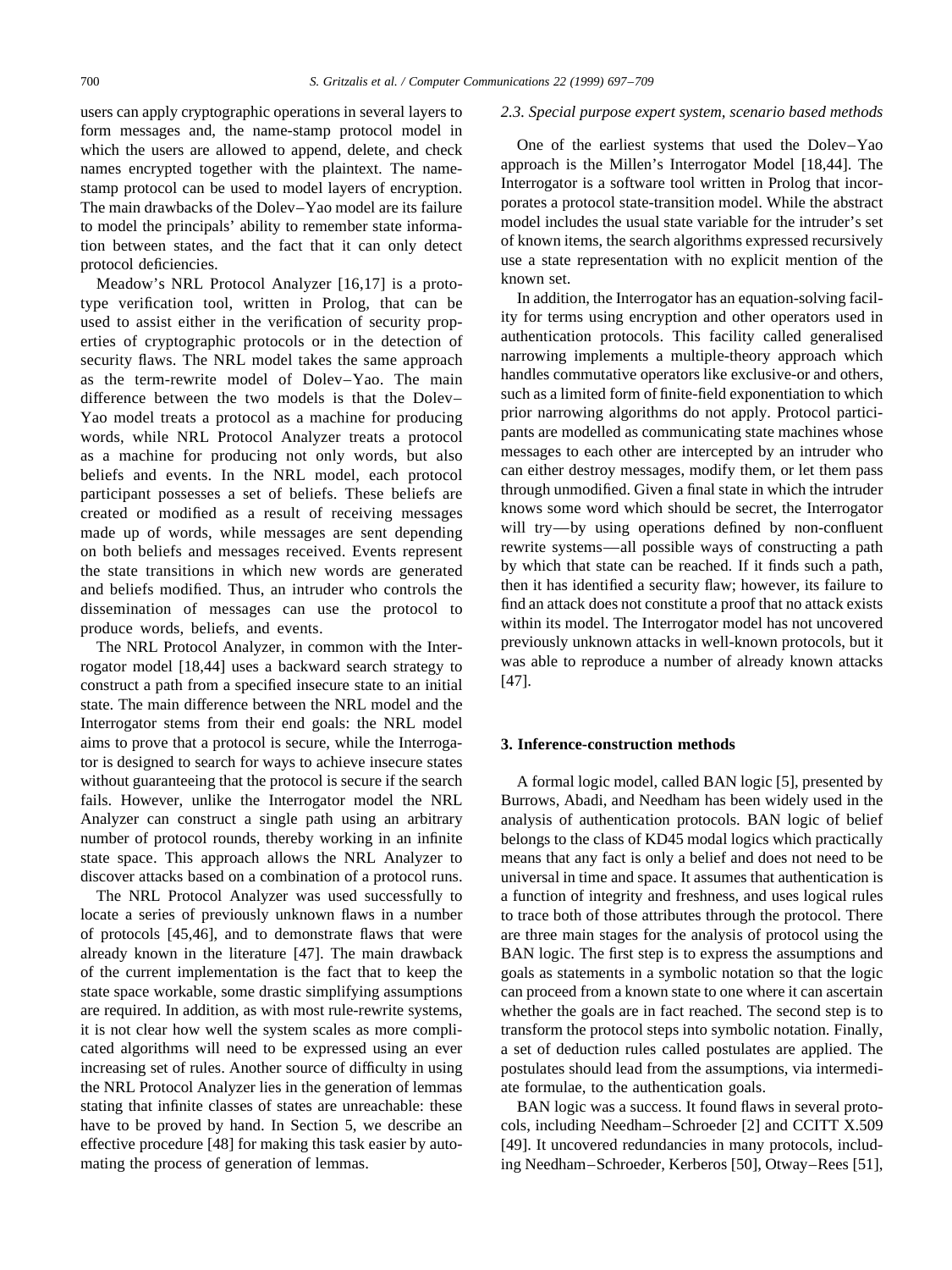users can apply cryptographic operations in several layers to form messages and, the name-stamp protocol model in which the users are allowed to append, delete, and check names encrypted together with the plaintext. The namestamp protocol can be used to model layers of encryption. The main drawbacks of the Dolev–Yao model are its failure to model the principals' ability to remember state information between states, and the fact that it can only detect protocol deficiencies.

Meadow's NRL Protocol Analyzer [16,17] is a prototype verification tool, written in Prolog, that can be used to assist either in the verification of security properties of cryptographic protocols or in the detection of security flaws. The NRL model takes the same approach as the term-rewrite model of Dolev–Yao. The main difference between the two models is that the Dolev– Yao model treats a protocol as a machine for producing words, while NRL Protocol Analyzer treats a protocol as a machine for producing not only words, but also beliefs and events. In the NRL model, each protocol participant possesses a set of beliefs. These beliefs are created or modified as a result of receiving messages made up of words, while messages are sent depending on both beliefs and messages received. Events represent the state transitions in which new words are generated and beliefs modified. Thus, an intruder who controls the dissemination of messages can use the protocol to produce words, beliefs, and events.

The NRL Protocol Analyzer, in common with the Interrogator model [18,44] uses a backward search strategy to construct a path from a specified insecure state to an initial state. The main difference between the NRL model and the Interrogator stems from their end goals: the NRL model aims to prove that a protocol is secure, while the Interrogator is designed to search for ways to achieve insecure states without guaranteeing that the protocol is secure if the search fails. However, unlike the Interrogator model the NRL Analyzer can construct a single path using an arbitrary number of protocol rounds, thereby working in an infinite state space. This approach allows the NRL Analyzer to discover attacks based on a combination of a protocol runs.

The NRL Protocol Analyzer was used successfully to locate a series of previously unknown flaws in a number of protocols [45,46], and to demonstrate flaws that were already known in the literature [47]. The main drawback of the current implementation is the fact that to keep the state space workable, some drastic simplifying assumptions are required. In addition, as with most rule-rewrite systems, it is not clear how well the system scales as more complicated algorithms will need to be expressed using an ever increasing set of rules. Another source of difficulty in using the NRL Protocol Analyzer lies in the generation of lemmas stating that infinite classes of states are unreachable: these have to be proved by hand. In Section 5, we describe an effective procedure [48] for making this task easier by automating the process of generation of lemmas.

#### *2.3. Special purpose expert system, scenario based methods*

One of the earliest systems that used the Dolev–Yao approach is the Millen's Interrogator Model [18,44]. The Interrogator is a software tool written in Prolog that incorporates a protocol state-transition model. While the abstract model includes the usual state variable for the intruder's set of known items, the search algorithms expressed recursively use a state representation with no explicit mention of the known set.

In addition, the Interrogator has an equation-solving facility for terms using encryption and other operators used in authentication protocols. This facility called generalised narrowing implements a multiple-theory approach which handles commutative operators like exclusive-or and others, such as a limited form of finite-field exponentiation to which prior narrowing algorithms do not apply. Protocol participants are modelled as communicating state machines whose messages to each other are intercepted by an intruder who can either destroy messages, modify them, or let them pass through unmodified. Given a final state in which the intruder knows some word which should be secret, the Interrogator will try—by using operations defined by non-confluent rewrite systems—all possible ways of constructing a path by which that state can be reached. If it finds such a path, then it has identified a security flaw; however, its failure to find an attack does not constitute a proof that no attack exists within its model. The Interrogator model has not uncovered previously unknown attacks in well-known protocols, but it was able to reproduce a number of already known attacks [47].

# **3. Inference-construction methods**

A formal logic model, called BAN logic [5], presented by Burrows, Abadi, and Needham has been widely used in the analysis of authentication protocols. BAN logic of belief belongs to the class of KD45 modal logics which practically means that any fact is only a belief and does not need to be universal in time and space. It assumes that authentication is a function of integrity and freshness, and uses logical rules to trace both of those attributes through the protocol. There are three main stages for the analysis of protocol using the BAN logic. The first step is to express the assumptions and goals as statements in a symbolic notation so that the logic can proceed from a known state to one where it can ascertain whether the goals are in fact reached. The second step is to transform the protocol steps into symbolic notation. Finally, a set of deduction rules called postulates are applied. The postulates should lead from the assumptions, via intermediate formulae, to the authentication goals.

BAN logic was a success. It found flaws in several protocols, including Needham–Schroeder [2] and CCITT X.509 [49]. It uncovered redundancies in many protocols, including Needham–Schroeder, Kerberos [50], Otway–Rees [51],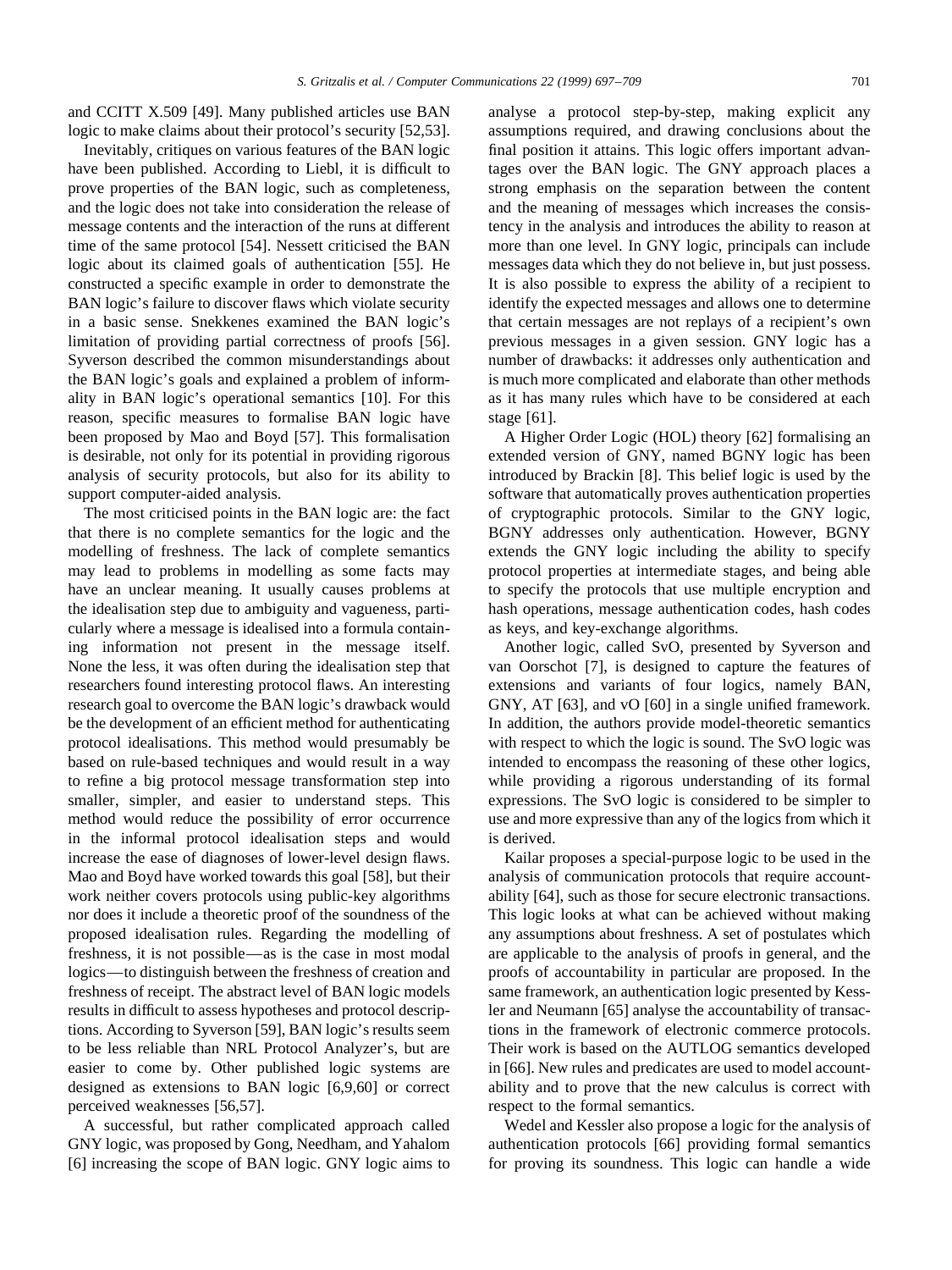and CCITT X.509 [49]. Many published articles use BAN logic to make claims about their protocol's security [52,53].

Inevitably, critiques on various features of the BAN logic have been published. According to Liebl, it is difficult to prove properties of the BAN logic, such as completeness, and the logic does not take into consideration the release of message contents and the interaction of the runs at different time of the same protocol [54]. Nessett criticised the BAN logic about its claimed goals of authentication [55]. He constructed a specific example in order to demonstrate the BAN logic's failure to discover flaws which violate security in a basic sense. Snekkenes examined the BAN logic's limitation of providing partial correctness of proofs [56]. Syverson described the common misunderstandings about the BAN logic's goals and explained a problem of informality in BAN logic's operational semantics [10]. For this reason, specific measures to formalise BAN logic have been proposed by Mao and Boyd [57]. This formalisation is desirable, not only for its potential in providing rigorous analysis of security protocols, but also for its ability to support computer-aided analysis.

The most criticised points in the BAN logic are: the fact that there is no complete semantics for the logic and the modelling of freshness. The lack of complete semantics may lead to problems in modelling as some facts may have an unclear meaning. It usually causes problems at the idealisation step due to ambiguity and vagueness, particularly where a message is idealised into a formula containing information not present in the message itself. None the less, it was often during the idealisation step that researchers found interesting protocol flaws. An interesting research goal to overcome the BAN logic's drawback would be the development of an efficient method for authenticating protocol idealisations. This method would presumably be based on rule-based techniques and would result in a way to refine a big protocol message transformation step into smaller, simpler, and easier to understand steps. This method would reduce the possibility of error occurrence in the informal protocol idealisation steps and would increase the ease of diagnoses of lower-level design flaws. Mao and Boyd have worked towards this goal [58], but their work neither covers protocols using public-key algorithms nor does it include a theoretic proof of the soundness of the proposed idealisation rules. Regarding the modelling of freshness, it is not possible—as is the case in most modal logics—to distinguish between the freshness of creation and freshness of receipt. The abstract level of BAN logic models results in difficult to assess hypotheses and protocol descriptions. According to Syverson [59], BAN logic's results seem to be less reliable than NRL Protocol Analyzer's, but are easier to come by. Other published logic systems are designed as extensions to BAN logic [6,9,60] or correct perceived weaknesses [56,57].

A successful, but rather complicated approach called GNY logic, was proposed by Gong, Needham, and Yahalom [6] increasing the scope of BAN logic. GNY logic aims to analyse a protocol step-by-step, making explicit any assumptions required, and drawing conclusions about the final position it attains. This logic offers important advantages over the BAN logic. The GNY approach places a strong emphasis on the separation between the content and the meaning of messages which increases the consistency in the analysis and introduces the ability to reason at more than one level. In GNY logic, principals can include messages data which they do not believe in, but just possess. It is also possible to express the ability of a recipient to identify the expected messages and allows one to determine that certain messages are not replays of a recipient's own previous messages in a given session. GNY logic has a number of drawbacks: it addresses only authentication and is much more complicated and elaborate than other methods as it has many rules which have to be considered at each stage [61].

A Higher Order Logic (HOL) theory [62] formalising an extended version of GNY, named BGNY logic has been introduced by Brackin [8]. This belief logic is used by the software that automatically proves authentication properties of cryptographic protocols. Similar to the GNY logic, BGNY addresses only authentication. However, BGNY extends the GNY logic including the ability to specify protocol properties at intermediate stages, and being able to specify the protocols that use multiple encryption and hash operations, message authentication codes, hash codes as keys, and key-exchange algorithms.

Another logic, called SvO, presented by Syverson and van Oorschot [7], is designed to capture the features of extensions and variants of four logics, namely BAN, GNY, AT [63], and vO [60] in a single unified framework. In addition, the authors provide model-theoretic semantics with respect to which the logic is sound. The SvO logic was intended to encompass the reasoning of these other logics, while providing a rigorous understanding of its formal expressions. The SvO logic is considered to be simpler to use and more expressive than any of the logics from which it is derived.

Kailar proposes a special-purpose logic to be used in the analysis of communication protocols that require accountability [64], such as those for secure electronic transactions. This logic looks at what can be achieved without making any assumptions about freshness. A set of postulates which are applicable to the analysis of proofs in general, and the proofs of accountability in particular are proposed. In the same framework, an authentication logic presented by Kessler and Neumann [65] analyse the accountability of transactions in the framework of electronic commerce protocols. Their work is based on the AUTLOG semantics developed in [66]. New rules and predicates are used to model accountability and to prove that the new calculus is correct with respect to the formal semantics.

Wedel and Kessler also propose a logic for the analysis of authentication protocols [66] providing formal semantics for proving its soundness. This logic can handle a wide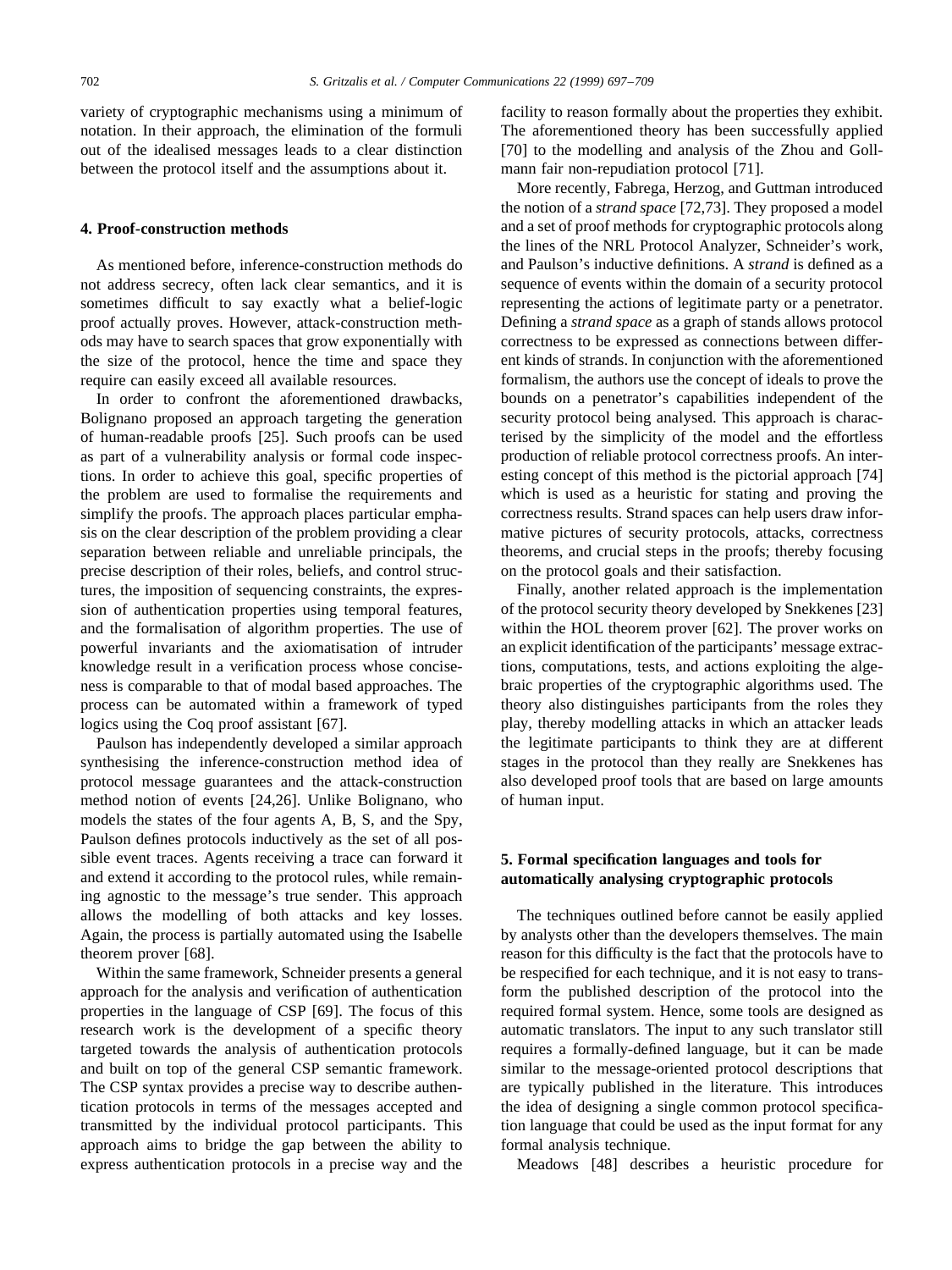variety of cryptographic mechanisms using a minimum of notation. In their approach, the elimination of the formuli out of the idealised messages leads to a clear distinction between the protocol itself and the assumptions about it.

### **4. Proof-construction methods**

As mentioned before, inference-construction methods do not address secrecy, often lack clear semantics, and it is sometimes difficult to say exactly what a belief-logic proof actually proves. However, attack-construction methods may have to search spaces that grow exponentially with the size of the protocol, hence the time and space they require can easily exceed all available resources.

In order to confront the aforementioned drawbacks, Bolignano proposed an approach targeting the generation of human-readable proofs [25]. Such proofs can be used as part of a vulnerability analysis or formal code inspections. In order to achieve this goal, specific properties of the problem are used to formalise the requirements and simplify the proofs. The approach places particular emphasis on the clear description of the problem providing a clear separation between reliable and unreliable principals, the precise description of their roles, beliefs, and control structures, the imposition of sequencing constraints, the expression of authentication properties using temporal features, and the formalisation of algorithm properties. The use of powerful invariants and the axiomatisation of intruder knowledge result in a verification process whose conciseness is comparable to that of modal based approaches. The process can be automated within a framework of typed logics using the Coq proof assistant [67].

Paulson has independently developed a similar approach synthesising the inference-construction method idea of protocol message guarantees and the attack-construction method notion of events [24,26]. Unlike Bolignano, who models the states of the four agents A, B, S, and the Spy, Paulson defines protocols inductively as the set of all possible event traces. Agents receiving a trace can forward it and extend it according to the protocol rules, while remaining agnostic to the message's true sender. This approach allows the modelling of both attacks and key losses. Again, the process is partially automated using the Isabelle theorem prover [68].

Within the same framework, Schneider presents a general approach for the analysis and verification of authentication properties in the language of CSP [69]. The focus of this research work is the development of a specific theory targeted towards the analysis of authentication protocols and built on top of the general CSP semantic framework. The CSP syntax provides a precise way to describe authentication protocols in terms of the messages accepted and transmitted by the individual protocol participants. This approach aims to bridge the gap between the ability to express authentication protocols in a precise way and the facility to reason formally about the properties they exhibit. The aforementioned theory has been successfully applied [70] to the modelling and analysis of the Zhou and Gollmann fair non-repudiation protocol [71].

More recently, Fabrega, Herzog, and Guttman introduced the notion of a *strand space* [72,73]. They proposed a model and a set of proof methods for cryptographic protocols along the lines of the NRL Protocol Analyzer, Schneider's work, and Paulson's inductive definitions. A *strand* is defined as a sequence of events within the domain of a security protocol representing the actions of legitimate party or a penetrator. Defining a *strand space* as a graph of stands allows protocol correctness to be expressed as connections between different kinds of strands. In conjunction with the aforementioned formalism, the authors use the concept of ideals to prove the bounds on a penetrator's capabilities independent of the security protocol being analysed. This approach is characterised by the simplicity of the model and the effortless production of reliable protocol correctness proofs. An interesting concept of this method is the pictorial approach [74] which is used as a heuristic for stating and proving the correctness results. Strand spaces can help users draw informative pictures of security protocols, attacks, correctness theorems, and crucial steps in the proofs; thereby focusing on the protocol goals and their satisfaction.

Finally, another related approach is the implementation of the protocol security theory developed by Snekkenes [23] within the HOL theorem prover [62]. The prover works on an explicit identification of the participants' message extractions, computations, tests, and actions exploiting the algebraic properties of the cryptographic algorithms used. The theory also distinguishes participants from the roles they play, thereby modelling attacks in which an attacker leads the legitimate participants to think they are at different stages in the protocol than they really are Snekkenes has also developed proof tools that are based on large amounts of human input.

# **5. Formal specification languages and tools for automatically analysing cryptographic protocols**

The techniques outlined before cannot be easily applied by analysts other than the developers themselves. The main reason for this difficulty is the fact that the protocols have to be respecified for each technique, and it is not easy to transform the published description of the protocol into the required formal system. Hence, some tools are designed as automatic translators. The input to any such translator still requires a formally-defined language, but it can be made similar to the message-oriented protocol descriptions that are typically published in the literature. This introduces the idea of designing a single common protocol specification language that could be used as the input format for any formal analysis technique.

Meadows [48] describes a heuristic procedure for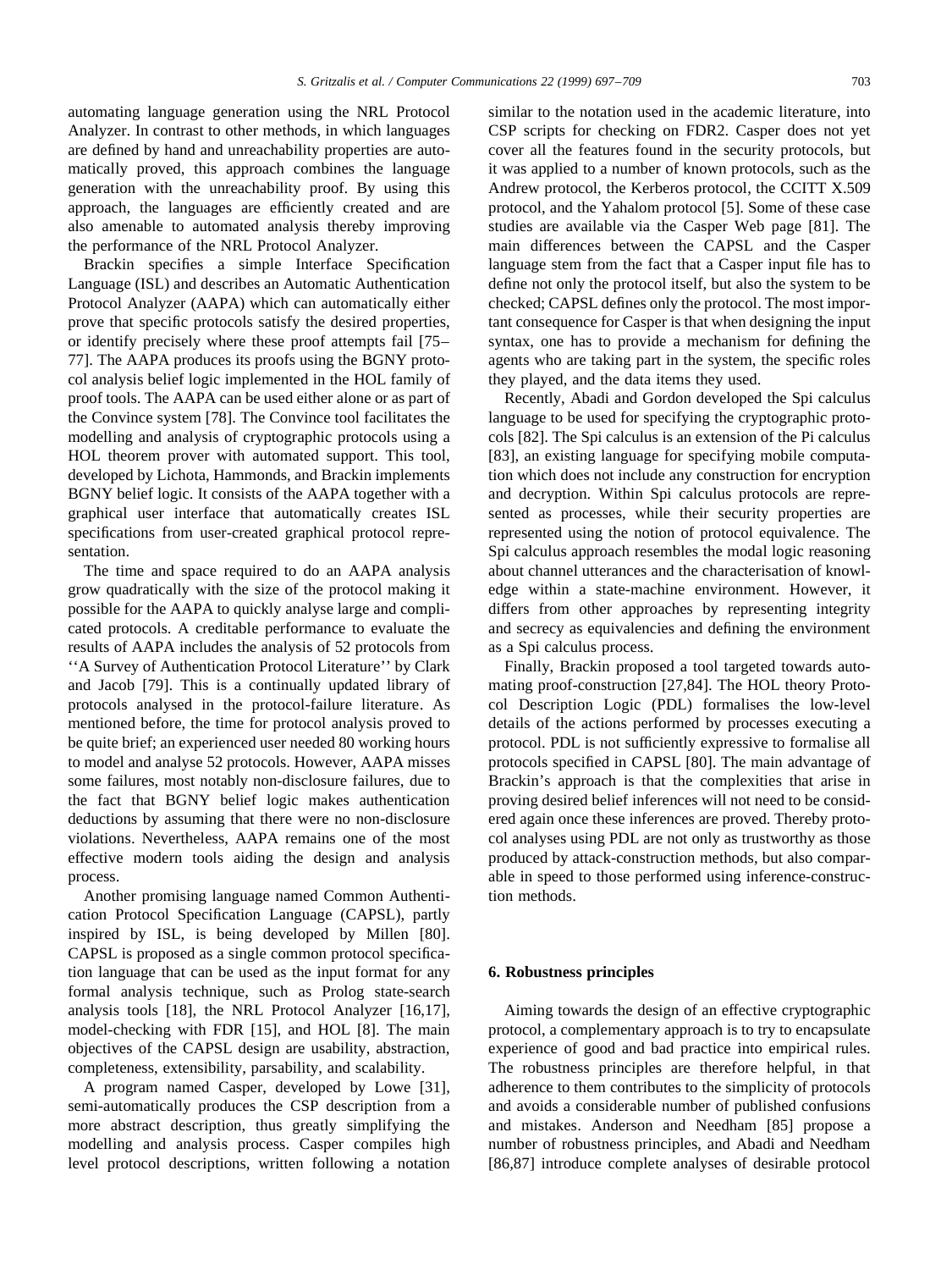automating language generation using the NRL Protocol Analyzer. In contrast to other methods, in which languages are defined by hand and unreachability properties are automatically proved, this approach combines the language generation with the unreachability proof. By using this approach, the languages are efficiently created and are also amenable to automated analysis thereby improving the performance of the NRL Protocol Analyzer.

Brackin specifies a simple Interface Specification Language (ISL) and describes an Automatic Authentication Protocol Analyzer (AAPA) which can automatically either prove that specific protocols satisfy the desired properties, or identify precisely where these proof attempts fail [75– 77]. The AAPA produces its proofs using the BGNY protocol analysis belief logic implemented in the HOL family of proof tools. The AAPA can be used either alone or as part of the Convince system [78]. The Convince tool facilitates the modelling and analysis of cryptographic protocols using a HOL theorem prover with automated support. This tool, developed by Lichota, Hammonds, and Brackin implements BGNY belief logic. It consists of the AAPA together with a graphical user interface that automatically creates ISL specifications from user-created graphical protocol representation.

The time and space required to do an AAPA analysis grow quadratically with the size of the protocol making it possible for the AAPA to quickly analyse large and complicated protocols. A creditable performance to evaluate the results of AAPA includes the analysis of 52 protocols from ''A Survey of Authentication Protocol Literature'' by Clark and Jacob [79]. This is a continually updated library of protocols analysed in the protocol-failure literature. As mentioned before, the time for protocol analysis proved to be quite brief; an experienced user needed 80 working hours to model and analyse 52 protocols. However, AAPA misses some failures, most notably non-disclosure failures, due to the fact that BGNY belief logic makes authentication deductions by assuming that there were no non-disclosure violations. Nevertheless, AAPA remains one of the most effective modern tools aiding the design and analysis process.

Another promising language named Common Authentication Protocol Specification Language (CAPSL), partly inspired by ISL, is being developed by Millen [80]. CAPSL is proposed as a single common protocol specification language that can be used as the input format for any formal analysis technique, such as Prolog state-search analysis tools [18], the NRL Protocol Analyzer [16,17], model-checking with FDR [15], and HOL [8]. The main objectives of the CAPSL design are usability, abstraction, completeness, extensibility, parsability, and scalability.

A program named Casper, developed by Lowe [31], semi-automatically produces the CSP description from a more abstract description, thus greatly simplifying the modelling and analysis process. Casper compiles high level protocol descriptions, written following a notation

similar to the notation used in the academic literature, into CSP scripts for checking on FDR2. Casper does not yet cover all the features found in the security protocols, but it was applied to a number of known protocols, such as the Andrew protocol, the Kerberos protocol, the CCITT X.509 protocol, and the Yahalom protocol [5]. Some of these case studies are available via the Casper Web page [81]. The main differences between the CAPSL and the Casper language stem from the fact that a Casper input file has to define not only the protocol itself, but also the system to be checked; CAPSL defines only the protocol. The most important consequence for Casper is that when designing the input syntax, one has to provide a mechanism for defining the agents who are taking part in the system, the specific roles they played, and the data items they used.

Recently, Abadi and Gordon developed the Spi calculus language to be used for specifying the cryptographic protocols [82]. The Spi calculus is an extension of the Pi calculus [83], an existing language for specifying mobile computation which does not include any construction for encryption and decryption. Within Spi calculus protocols are represented as processes, while their security properties are represented using the notion of protocol equivalence. The Spi calculus approach resembles the modal logic reasoning about channel utterances and the characterisation of knowledge within a state-machine environment. However, it differs from other approaches by representing integrity and secrecy as equivalencies and defining the environment as a Spi calculus process.

Finally, Brackin proposed a tool targeted towards automating proof-construction [27,84]. The HOL theory Protocol Description Logic (PDL) formalises the low-level details of the actions performed by processes executing a protocol. PDL is not sufficiently expressive to formalise all protocols specified in CAPSL [80]. The main advantage of Brackin's approach is that the complexities that arise in proving desired belief inferences will not need to be considered again once these inferences are proved. Thereby protocol analyses using PDL are not only as trustworthy as those produced by attack-construction methods, but also comparable in speed to those performed using inference-construction methods.

# **6. Robustness principles**

Aiming towards the design of an effective cryptographic protocol, a complementary approach is to try to encapsulate experience of good and bad practice into empirical rules. The robustness principles are therefore helpful, in that adherence to them contributes to the simplicity of protocols and avoids a considerable number of published confusions and mistakes. Anderson and Needham [85] propose a number of robustness principles, and Abadi and Needham [86,87] introduce complete analyses of desirable protocol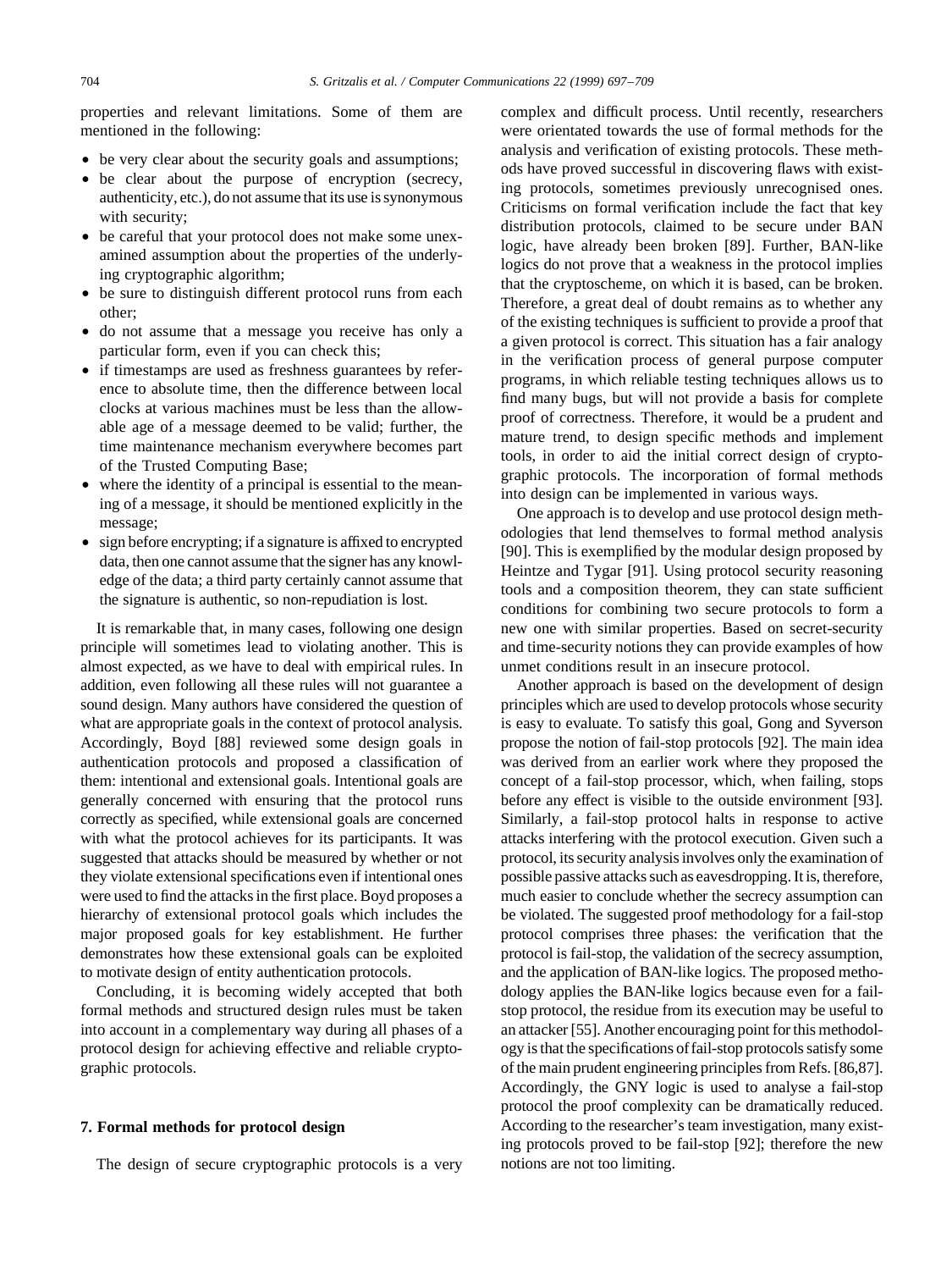properties and relevant limitations. Some of them are mentioned in the following:

- be very clear about the security goals and assumptions;
- be clear about the purpose of encryption (secrecy, authenticity, etc.), do not assume that its use is synonymous with security;
- be careful that your protocol does not make some unexamined assumption about the properties of the underlying cryptographic algorithm;
- be sure to distinguish different protocol runs from each other;
- do not assume that a message you receive has only a particular form, even if you can check this;
- if timestamps are used as freshness guarantees by reference to absolute time, then the difference between local clocks at various machines must be less than the allowable age of a message deemed to be valid; further, the time maintenance mechanism everywhere becomes part of the Trusted Computing Base;
- where the identity of a principal is essential to the meaning of a message, it should be mentioned explicitly in the message;
- sign before encrypting; if a signature is affixed to encrypted data, then one cannot assume that the signer has any knowledge of the data; a third party certainly cannot assume that the signature is authentic, so non-repudiation is lost.

It is remarkable that, in many cases, following one design principle will sometimes lead to violating another. This is almost expected, as we have to deal with empirical rules. In addition, even following all these rules will not guarantee a sound design. Many authors have considered the question of what are appropriate goals in the context of protocol analysis. Accordingly, Boyd [88] reviewed some design goals in authentication protocols and proposed a classification of them: intentional and extensional goals. Intentional goals are generally concerned with ensuring that the protocol runs correctly as specified, while extensional goals are concerned with what the protocol achieves for its participants. It was suggested that attacks should be measured by whether or not they violate extensional specifications even if intentional ones were used to find the attacks in the first place. Boyd proposes a hierarchy of extensional protocol goals which includes the major proposed goals for key establishment. He further demonstrates how these extensional goals can be exploited to motivate design of entity authentication protocols.

Concluding, it is becoming widely accepted that both formal methods and structured design rules must be taken into account in a complementary way during all phases of a protocol design for achieving effective and reliable cryptographic protocols.

## **7. Formal methods for protocol design**

The design of secure cryptographic protocols is a very

complex and difficult process. Until recently, researchers were orientated towards the use of formal methods for the analysis and verification of existing protocols. These methods have proved successful in discovering flaws with existing protocols, sometimes previously unrecognised ones. Criticisms on formal verification include the fact that key distribution protocols, claimed to be secure under BAN logic, have already been broken [89]. Further, BAN-like logics do not prove that a weakness in the protocol implies that the cryptoscheme, on which it is based, can be broken. Therefore, a great deal of doubt remains as to whether any of the existing techniques is sufficient to provide a proof that a given protocol is correct. This situation has a fair analogy in the verification process of general purpose computer programs, in which reliable testing techniques allows us to find many bugs, but will not provide a basis for complete proof of correctness. Therefore, it would be a prudent and mature trend, to design specific methods and implement tools, in order to aid the initial correct design of cryptographic protocols. The incorporation of formal methods into design can be implemented in various ways.

One approach is to develop and use protocol design methodologies that lend themselves to formal method analysis [90]. This is exemplified by the modular design proposed by Heintze and Tygar [91]. Using protocol security reasoning tools and a composition theorem, they can state sufficient conditions for combining two secure protocols to form a new one with similar properties. Based on secret-security and time-security notions they can provide examples of how unmet conditions result in an insecure protocol.

Another approach is based on the development of design principles which are used to develop protocols whose security is easy to evaluate. To satisfy this goal, Gong and Syverson propose the notion of fail-stop protocols [92]. The main idea was derived from an earlier work where they proposed the concept of a fail-stop processor, which, when failing, stops before any effect is visible to the outside environment [93]. Similarly, a fail-stop protocol halts in response to active attacks interfering with the protocol execution. Given such a protocol, its security analysis involves only the examination of possible passive attacks such as eavesdropping. It is, therefore, much easier to conclude whether the secrecy assumption can be violated. The suggested proof methodology for a fail-stop protocol comprises three phases: the verification that the protocol is fail-stop, the validation of the secrecy assumption, and the application of BAN-like logics. The proposed methodology applies the BAN-like logics because even for a failstop protocol, the residue from its execution may be useful to an attacker [55]. Another encouraging point for this methodology is that the specifications offail-stop protocols satisfy some of the main prudent engineering principles from Refs. [86,87]. Accordingly, the GNY logic is used to analyse a fail-stop protocol the proof complexity can be dramatically reduced. According to the researcher's team investigation, many existing protocols proved to be fail-stop [92]; therefore the new notions are not too limiting.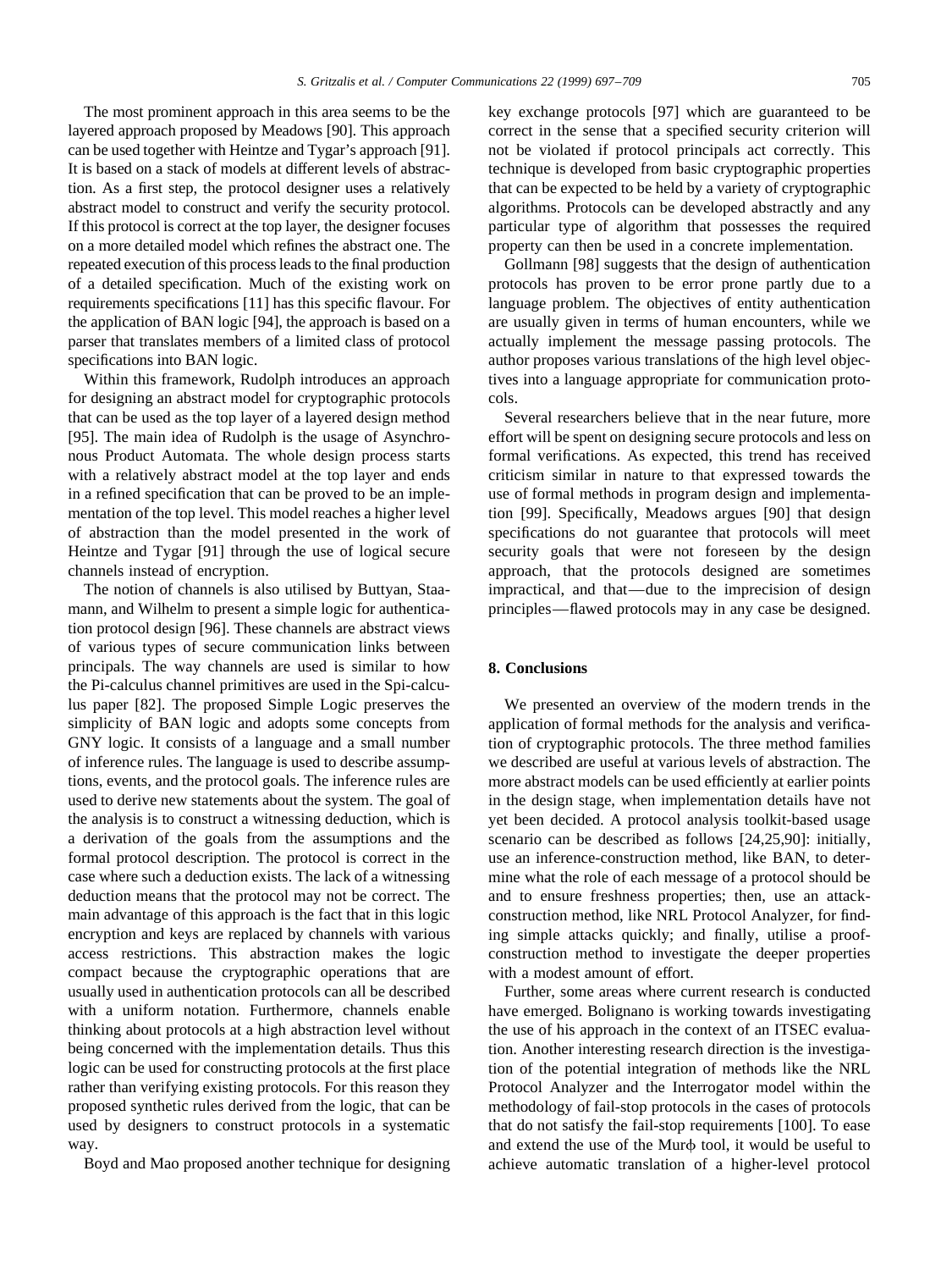The most prominent approach in this area seems to be the layered approach proposed by Meadows [90]. This approach can be used together with Heintze and Tygar's approach [91]. It is based on a stack of models at different levels of abstraction. As a first step, the protocol designer uses a relatively abstract model to construct and verify the security protocol. If this protocol is correct at the top layer, the designer focuses on a more detailed model which refines the abstract one. The repeated execution of this process leads to the final production of a detailed specification. Much of the existing work on requirements specifications [11] has this specific flavour. For the application of BAN logic [94], the approach is based on a parser that translates members of a limited class of protocol specifications into BAN logic.

Within this framework, Rudolph introduces an approach for designing an abstract model for cryptographic protocols that can be used as the top layer of a layered design method [95]. The main idea of Rudolph is the usage of Asynchronous Product Automata. The whole design process starts with a relatively abstract model at the top layer and ends in a refined specification that can be proved to be an implementation of the top level. This model reaches a higher level of abstraction than the model presented in the work of Heintze and Tygar [91] through the use of logical secure channels instead of encryption.

The notion of channels is also utilised by Buttyan, Staamann, and Wilhelm to present a simple logic for authentication protocol design [96]. These channels are abstract views of various types of secure communication links between principals. The way channels are used is similar to how the Pi-calculus channel primitives are used in the Spi-calculus paper [82]. The proposed Simple Logic preserves the simplicity of BAN logic and adopts some concepts from GNY logic. It consists of a language and a small number of inference rules. The language is used to describe assumptions, events, and the protocol goals. The inference rules are used to derive new statements about the system. The goal of the analysis is to construct a witnessing deduction, which is a derivation of the goals from the assumptions and the formal protocol description. The protocol is correct in the case where such a deduction exists. The lack of a witnessing deduction means that the protocol may not be correct. The main advantage of this approach is the fact that in this logic encryption and keys are replaced by channels with various access restrictions. This abstraction makes the logic compact because the cryptographic operations that are usually used in authentication protocols can all be described with a uniform notation. Furthermore, channels enable thinking about protocols at a high abstraction level without being concerned with the implementation details. Thus this logic can be used for constructing protocols at the first place rather than verifying existing protocols. For this reason they proposed synthetic rules derived from the logic, that can be used by designers to construct protocols in a systematic way.

Boyd and Mao proposed another technique for designing

key exchange protocols [97] which are guaranteed to be correct in the sense that a specified security criterion will not be violated if protocol principals act correctly. This technique is developed from basic cryptographic properties that can be expected to be held by a variety of cryptographic algorithms. Protocols can be developed abstractly and any particular type of algorithm that possesses the required property can then be used in a concrete implementation.

Gollmann [98] suggests that the design of authentication protocols has proven to be error prone partly due to a language problem. The objectives of entity authentication are usually given in terms of human encounters, while we actually implement the message passing protocols. The author proposes various translations of the high level objectives into a language appropriate for communication protocols.

Several researchers believe that in the near future, more effort will be spent on designing secure protocols and less on formal verifications. As expected, this trend has received criticism similar in nature to that expressed towards the use of formal methods in program design and implementation [99]. Specifically, Meadows argues [90] that design specifications do not guarantee that protocols will meet security goals that were not foreseen by the design approach, that the protocols designed are sometimes impractical, and that—due to the imprecision of design principles—flawed protocols may in any case be designed.

## **8. Conclusions**

We presented an overview of the modern trends in the application of formal methods for the analysis and verification of cryptographic protocols. The three method families we described are useful at various levels of abstraction. The more abstract models can be used efficiently at earlier points in the design stage, when implementation details have not yet been decided. A protocol analysis toolkit-based usage scenario can be described as follows [24,25,90]: initially, use an inference-construction method, like BAN, to determine what the role of each message of a protocol should be and to ensure freshness properties; then, use an attackconstruction method, like NRL Protocol Analyzer, for finding simple attacks quickly; and finally, utilise a proofconstruction method to investigate the deeper properties with a modest amount of effort.

Further, some areas where current research is conducted have emerged. Bolignano is working towards investigating the use of his approach in the context of an ITSEC evaluation. Another interesting research direction is the investigation of the potential integration of methods like the NRL Protocol Analyzer and the Interrogator model within the methodology of fail-stop protocols in the cases of protocols that do not satisfy the fail-stop requirements [100]. To ease and extend the use of the Mur $\phi$  tool, it would be useful to achieve automatic translation of a higher-level protocol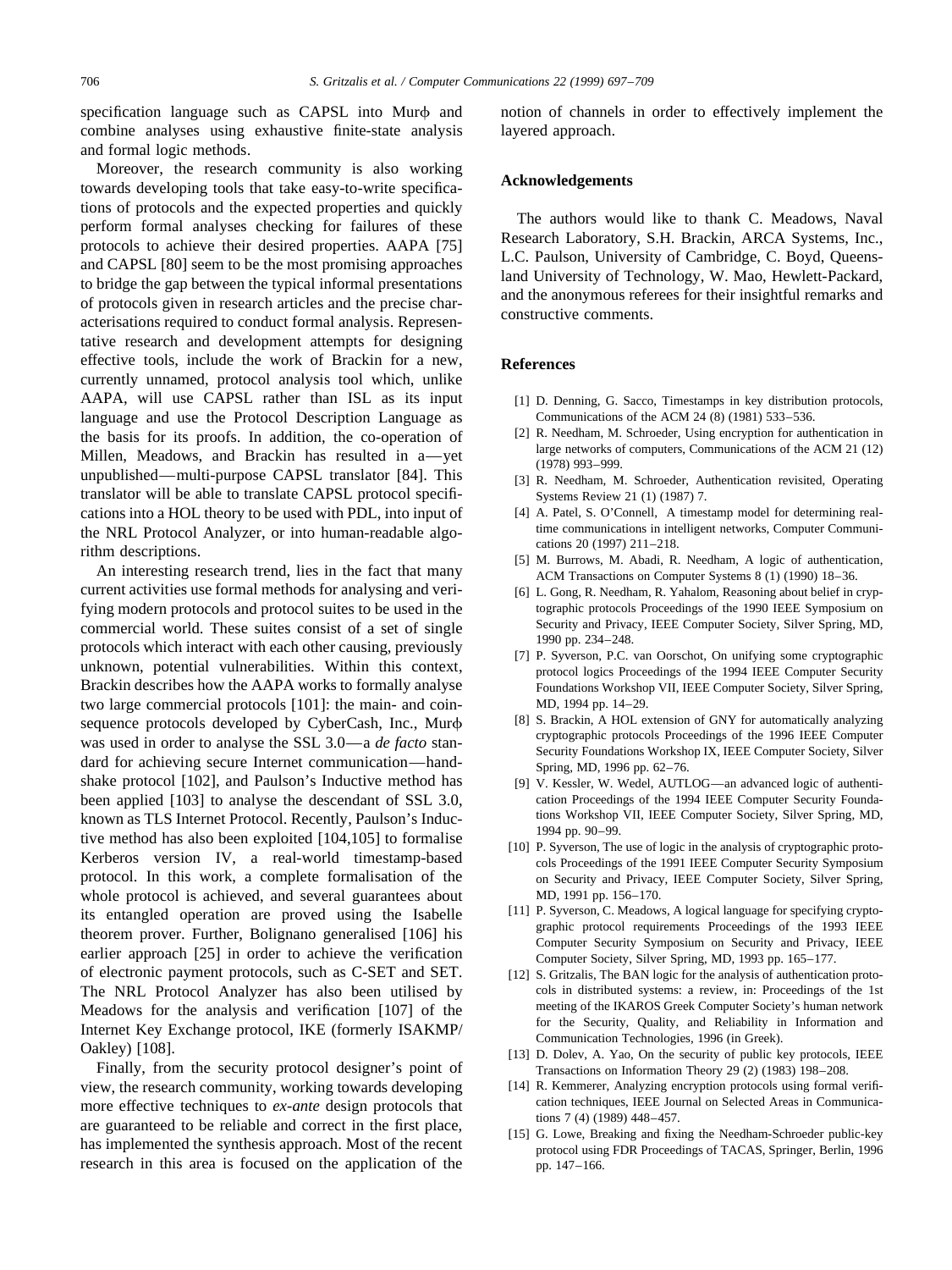specification language such as CAPSL into Mur<sub>d</sub> and combine analyses using exhaustive finite-state analysis and formal logic methods.

Moreover, the research community is also working towards developing tools that take easy-to-write specifications of protocols and the expected properties and quickly perform formal analyses checking for failures of these protocols to achieve their desired properties. AAPA [75] and CAPSL [80] seem to be the most promising approaches to bridge the gap between the typical informal presentations of protocols given in research articles and the precise characterisations required to conduct formal analysis. Representative research and development attempts for designing effective tools, include the work of Brackin for a new, currently unnamed, protocol analysis tool which, unlike AAPA, will use CAPSL rather than ISL as its input language and use the Protocol Description Language as the basis for its proofs. In addition, the co-operation of Millen, Meadows, and Brackin has resulted in a—yet unpublished—multi-purpose CAPSL translator [84]. This translator will be able to translate CAPSL protocol specifications into a HOL theory to be used with PDL, into input of the NRL Protocol Analyzer, or into human-readable algorithm descriptions.

An interesting research trend, lies in the fact that many current activities use formal methods for analysing and verifying modern protocols and protocol suites to be used in the commercial world. These suites consist of a set of single protocols which interact with each other causing, previously unknown, potential vulnerabilities. Within this context, Brackin describes how the AAPA works to formally analyse two large commercial protocols [101]: the main- and coinsequence protocols developed by CyberCash, Inc., Mur $\phi$ was used in order to analyse the SSL 3.0—a *de facto* standard for achieving secure Internet communication—handshake protocol [102], and Paulson's Inductive method has been applied [103] to analyse the descendant of SSL 3.0, known as TLS Internet Protocol. Recently, Paulson's Inductive method has also been exploited [104,105] to formalise Kerberos version IV, a real-world timestamp-based protocol. In this work, a complete formalisation of the whole protocol is achieved, and several guarantees about its entangled operation are proved using the Isabelle theorem prover. Further, Bolignano generalised [106] his earlier approach [25] in order to achieve the verification of electronic payment protocols, such as C-SET and SET. The NRL Protocol Analyzer has also been utilised by Meadows for the analysis and verification [107] of the Internet Key Exchange protocol, IKE (formerly ISAKMP/ Oakley) [108].

Finally, from the security protocol designer's point of view, the research community, working towards developing more effective techniques to *ex*-*ante* design protocols that are guaranteed to be reliable and correct in the first place, has implemented the synthesis approach. Most of the recent research in this area is focused on the application of the

notion of channels in order to effectively implement the layered approach.

## **Acknowledgements**

The authors would like to thank C. Meadows, Naval Research Laboratory, S.H. Brackin, ARCA Systems, Inc., L.C. Paulson, University of Cambridge, C. Boyd, Queensland University of Technology, W. Mao, Hewlett-Packard, and the anonymous referees for their insightful remarks and constructive comments.

#### **References**

- [1] D. Denning, G. Sacco, Timestamps in key distribution protocols, Communications of the ACM 24 (8) (1981) 533–536.
- [2] R. Needham, M. Schroeder, Using encryption for authentication in large networks of computers, Communications of the ACM 21 (12) (1978) 993–999.
- [3] R. Needham, M. Schroeder, Authentication revisited, Operating Systems Review 21 (1) (1987) 7.
- [4] A. Patel, S. O'Connell, A timestamp model for determining realtime communications in intelligent networks, Computer Communications 20 (1997) 211–218.
- [5] M. Burrows, M. Abadi, R. Needham, A logic of authentication, ACM Transactions on Computer Systems 8 (1) (1990) 18–36.
- [6] L. Gong, R. Needham, R. Yahalom, Reasoning about belief in cryptographic protocols Proceedings of the 1990 IEEE Symposium on Security and Privacy, IEEE Computer Society, Silver Spring, MD, 1990 pp. 234–248.
- [7] P. Syverson, P.C. van Oorschot, On unifying some cryptographic protocol logics Proceedings of the 1994 IEEE Computer Security Foundations Workshop VII, IEEE Computer Society, Silver Spring, MD, 1994 pp. 14–29.
- [8] S. Brackin, A HOL extension of GNY for automatically analyzing cryptographic protocols Proceedings of the 1996 IEEE Computer Security Foundations Workshop IX, IEEE Computer Society, Silver Spring, MD, 1996 pp. 62–76.
- [9] V. Kessler, W. Wedel, AUTLOG—an advanced logic of authentication Proceedings of the 1994 IEEE Computer Security Foundations Workshop VII, IEEE Computer Society, Silver Spring, MD, 1994 pp. 90–99.
- [10] P. Syverson, The use of logic in the analysis of cryptographic protocols Proceedings of the 1991 IEEE Computer Security Symposium on Security and Privacy, IEEE Computer Society, Silver Spring, MD, 1991 pp. 156–170.
- [11] P. Syverson, C. Meadows, A logical language for specifying cryptographic protocol requirements Proceedings of the 1993 IEEE Computer Security Symposium on Security and Privacy, IEEE Computer Society, Silver Spring, MD, 1993 pp. 165–177.
- [12] S. Gritzalis, The BAN logic for the analysis of authentication protocols in distributed systems: a review, in: Proceedings of the 1st meeting of the IKAROS Greek Computer Society's human network for the Security, Quality, and Reliability in Information and Communication Technologies, 1996 (in Greek).
- [13] D. Dolev, A. Yao, On the security of public key protocols, IEEE Transactions on Information Theory 29 (2) (1983) 198–208.
- [14] R. Kemmerer, Analyzing encryption protocols using formal verification techniques, IEEE Journal on Selected Areas in Communications 7 (4) (1989) 448–457.
- [15] G. Lowe, Breaking and fixing the Needham-Schroeder public-key protocol using FDR Proceedings of TACAS, Springer, Berlin, 1996 pp. 147–166.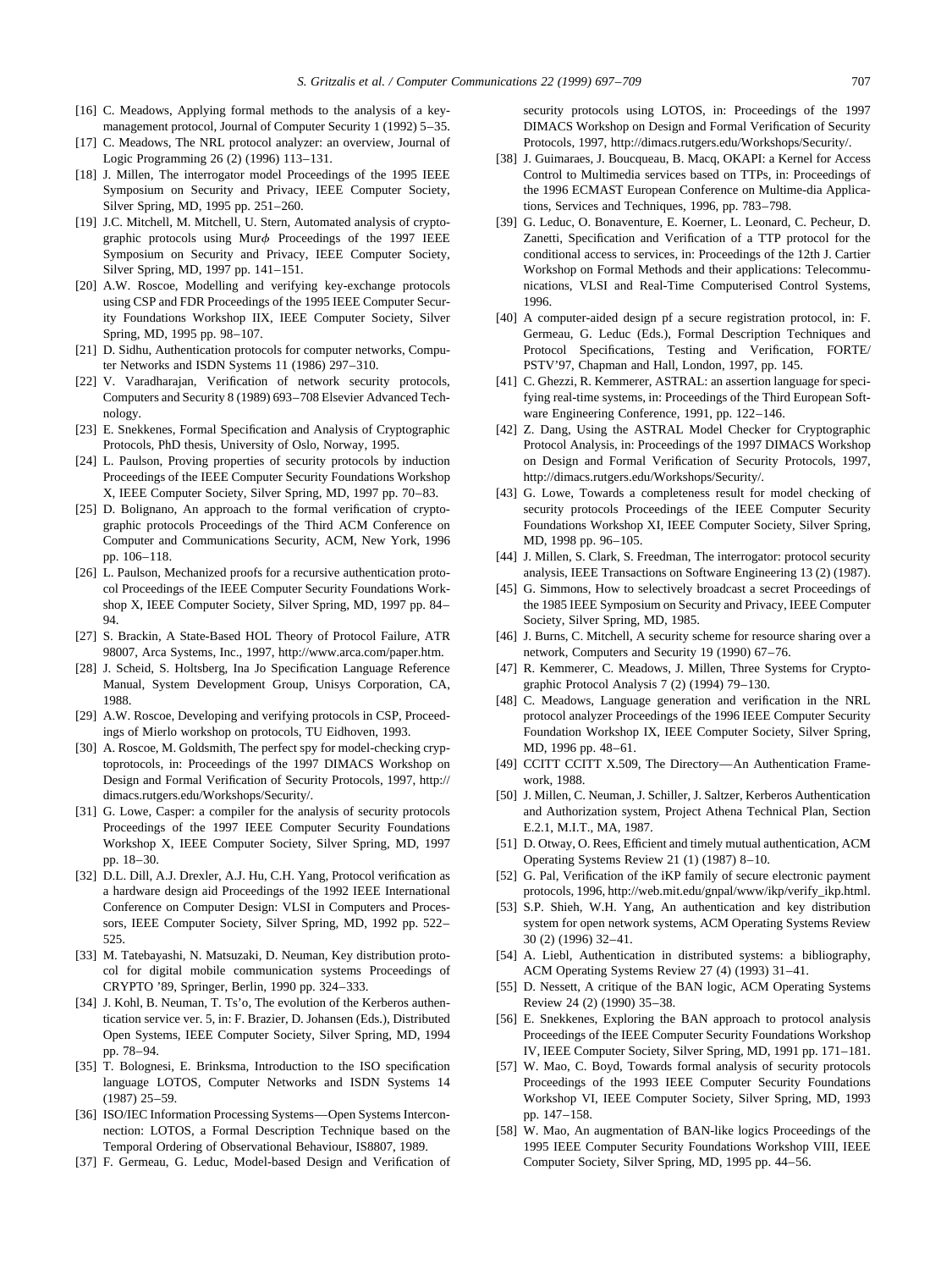- [16] C. Meadows, Applying formal methods to the analysis of a keymanagement protocol, Journal of Computer Security 1 (1992) 5–35.
- [17] C. Meadows, The NRL protocol analyzer: an overview, Journal of Logic Programming 26 (2) (1996) 113–131.
- [18] J. Millen, The interrogator model Proceedings of the 1995 IEEE Symposium on Security and Privacy, IEEE Computer Society, Silver Spring, MD, 1995 pp. 251–260.
- [19] J.C. Mitchell, M. Mitchell, U. Stern, Automated analysis of cryptographic protocols using Mur $\phi$  Proceedings of the 1997 IEEE Symposium on Security and Privacy, IEEE Computer Society, Silver Spring, MD, 1997 pp. 141–151.
- [20] A.W. Roscoe, Modelling and verifying key-exchange protocols using CSP and FDR Proceedings of the 1995 IEEE Computer Security Foundations Workshop IIX, IEEE Computer Society, Silver Spring, MD, 1995 pp. 98–107.
- [21] D. Sidhu, Authentication protocols for computer networks, Computer Networks and ISDN Systems 11 (1986) 297–310.
- [22] V. Varadharajan, Verification of network security protocols, Computers and Security 8 (1989) 693–708 Elsevier Advanced Technology.
- [23] E. Snekkenes, Formal Specification and Analysis of Cryptographic Protocols, PhD thesis, University of Oslo, Norway, 1995.
- [24] L. Paulson, Proving properties of security protocols by induction Proceedings of the IEEE Computer Security Foundations Workshop X, IEEE Computer Society, Silver Spring, MD, 1997 pp. 70–83.
- [25] D. Bolignano, An approach to the formal verification of cryptographic protocols Proceedings of the Third ACM Conference on Computer and Communications Security, ACM, New York, 1996 pp. 106–118.
- [26] L. Paulson, Mechanized proofs for a recursive authentication protocol Proceedings of the IEEE Computer Security Foundations Workshop X, IEEE Computer Society, Silver Spring, MD, 1997 pp. 84– 94.
- [27] S. Brackin, A State-Based HOL Theory of Protocol Failure, ATR 98007, Arca Systems, Inc., 1997, http://www.arca.com/paper.htm.
- [28] J. Scheid, S. Holtsberg, Ina Jo Specification Language Reference Manual, System Development Group, Unisys Corporation, CA, 1988.
- [29] A.W. Roscoe, Developing and verifying protocols in CSP, Proceedings of Mierlo workshop on protocols, TU Eidhoven, 1993.
- [30] A. Roscoe, M. Goldsmith, The perfect spy for model-checking cryptoprotocols, in: Proceedings of the 1997 DIMACS Workshop on Design and Formal Verification of Security Protocols, 1997, http:// dimacs.rutgers.edu/Workshops/Security/.
- [31] G. Lowe, Casper: a compiler for the analysis of security protocols Proceedings of the 1997 IEEE Computer Security Foundations Workshop X, IEEE Computer Society, Silver Spring, MD, 1997 pp. 18–30.
- [32] D.L. Dill, A.J. Drexler, A.J. Hu, C.H. Yang, Protocol verification as a hardware design aid Proceedings of the 1992 IEEE International Conference on Computer Design: VLSI in Computers and Processors, IEEE Computer Society, Silver Spring, MD, 1992 pp. 522– 525.
- [33] M. Tatebayashi, N. Matsuzaki, D. Neuman, Key distribution protocol for digital mobile communication systems Proceedings of CRYPTO '89, Springer, Berlin, 1990 pp. 324–333.
- [34] J. Kohl, B. Neuman, T. Ts'o, The evolution of the Kerberos authentication service ver. 5, in: F. Brazier, D. Johansen (Eds.), Distributed Open Systems, IEEE Computer Society, Silver Spring, MD, 1994 pp. 78–94.
- [35] T. Bolognesi, E. Brinksma, Introduction to the ISO specification language LOTOS, Computer Networks and ISDN Systems 14 (1987) 25–59.
- [36] ISO/IEC Information Processing Systems—Open Systems Interconnection: LOTOS, a Formal Description Technique based on the Temporal Ordering of Observational Behaviour, IS8807, 1989.
- [37] F. Germeau, G. Leduc, Model-based Design and Verification of

security protocols using LOTOS, in: Proceedings of the 1997 DIMACS Workshop on Design and Formal Verification of Security Protocols, 1997, http://dimacs.rutgers.edu/Workshops/Security/.

- [38] J. Guimaraes, J. Boucqueau, B. Macq, OKAPI: a Kernel for Access Control to Multimedia services based on TTPs, in: Proceedings of the 1996 ECMAST European Conference on Multime-dia Applications, Services and Techniques, 1996, pp. 783–798.
- [39] G. Leduc, O. Bonaventure, E. Koerner, L. Leonard, C. Pecheur, D. Zanetti, Specification and Verification of a TTP protocol for the conditional access to services, in: Proceedings of the 12th J. Cartier Workshop on Formal Methods and their applications: Telecommunications, VLSI and Real-Time Computerised Control Systems, 1996.
- [40] A computer-aided design pf a secure registration protocol, in: F. Germeau, G. Leduc (Eds.), Formal Description Techniques and Protocol Specifications, Testing and Verification, FORTE/ PSTV'97, Chapman and Hall, London, 1997, pp. 145.
- [41] C. Ghezzi, R. Kemmerer, ASTRAL: an assertion language for specifying real-time systems, in: Proceedings of the Third European Software Engineering Conference, 1991, pp. 122–146.
- [42] Z. Dang, Using the ASTRAL Model Checker for Cryptographic Protocol Analysis, in: Proceedings of the 1997 DIMACS Workshop on Design and Formal Verification of Security Protocols, 1997, http://dimacs.rutgers.edu/Workshops/Security/.
- [43] G. Lowe, Towards a completeness result for model checking of security protocols Proceedings of the IEEE Computer Security Foundations Workshop XI, IEEE Computer Society, Silver Spring, MD, 1998 pp. 96–105.
- [44] J. Millen, S. Clark, S. Freedman, The interrogator: protocol security analysis, IEEE Transactions on Software Engineering 13 (2) (1987).
- [45] G. Simmons, How to selectively broadcast a secret Proceedings of the 1985 IEEE Symposium on Security and Privacy, IEEE Computer Society, Silver Spring, MD, 1985.
- [46] J. Burns, C. Mitchell, A security scheme for resource sharing over a network, Computers and Security 19 (1990) 67–76.
- [47] R. Kemmerer, C. Meadows, J. Millen, Three Systems for Cryptographic Protocol Analysis 7 (2) (1994) 79–130.
- [48] C. Meadows, Language generation and verification in the NRL protocol analyzer Proceedings of the 1996 IEEE Computer Security Foundation Workshop IX, IEEE Computer Society, Silver Spring, MD, 1996 pp. 48–61.
- [49] CCITT CCITT X.509, The Directory—An Authentication Framework, 1988.
- [50] J. Millen, C. Neuman, J. Schiller, J. Saltzer, Kerberos Authentication and Authorization system, Project Athena Technical Plan, Section E.2.1, M.I.T., MA, 1987.
- [51] D. Otway, O. Rees, Efficient and timely mutual authentication, ACM Operating Systems Review 21 (1) (1987) 8–10.
- [52] G. Pal, Verification of the iKP family of secure electronic payment protocols, 1996, http://web.mit.edu/gnpal/www/ikp/verify\_ikp.html.
- [53] S.P. Shieh, W.H. Yang, An authentication and key distribution system for open network systems, ACM Operating Systems Review 30 (2) (1996) 32–41.
- [54] A. Liebl, Authentication in distributed systems: a bibliography, ACM Operating Systems Review 27 (4) (1993) 31–41.
- [55] D. Nessett, A critique of the BAN logic, ACM Operating Systems Review 24 (2) (1990) 35–38.
- [56] E. Snekkenes, Exploring the BAN approach to protocol analysis Proceedings of the IEEE Computer Security Foundations Workshop IV, IEEE Computer Society, Silver Spring, MD, 1991 pp. 171–181.
- [57] W. Mao, C. Boyd, Towards formal analysis of security protocols Proceedings of the 1993 IEEE Computer Security Foundations Workshop VI, IEEE Computer Society, Silver Spring, MD, 1993 pp. 147–158.
- [58] W. Mao, An augmentation of BAN-like logics Proceedings of the 1995 IEEE Computer Security Foundations Workshop VIII, IEEE Computer Society, Silver Spring, MD, 1995 pp. 44–56.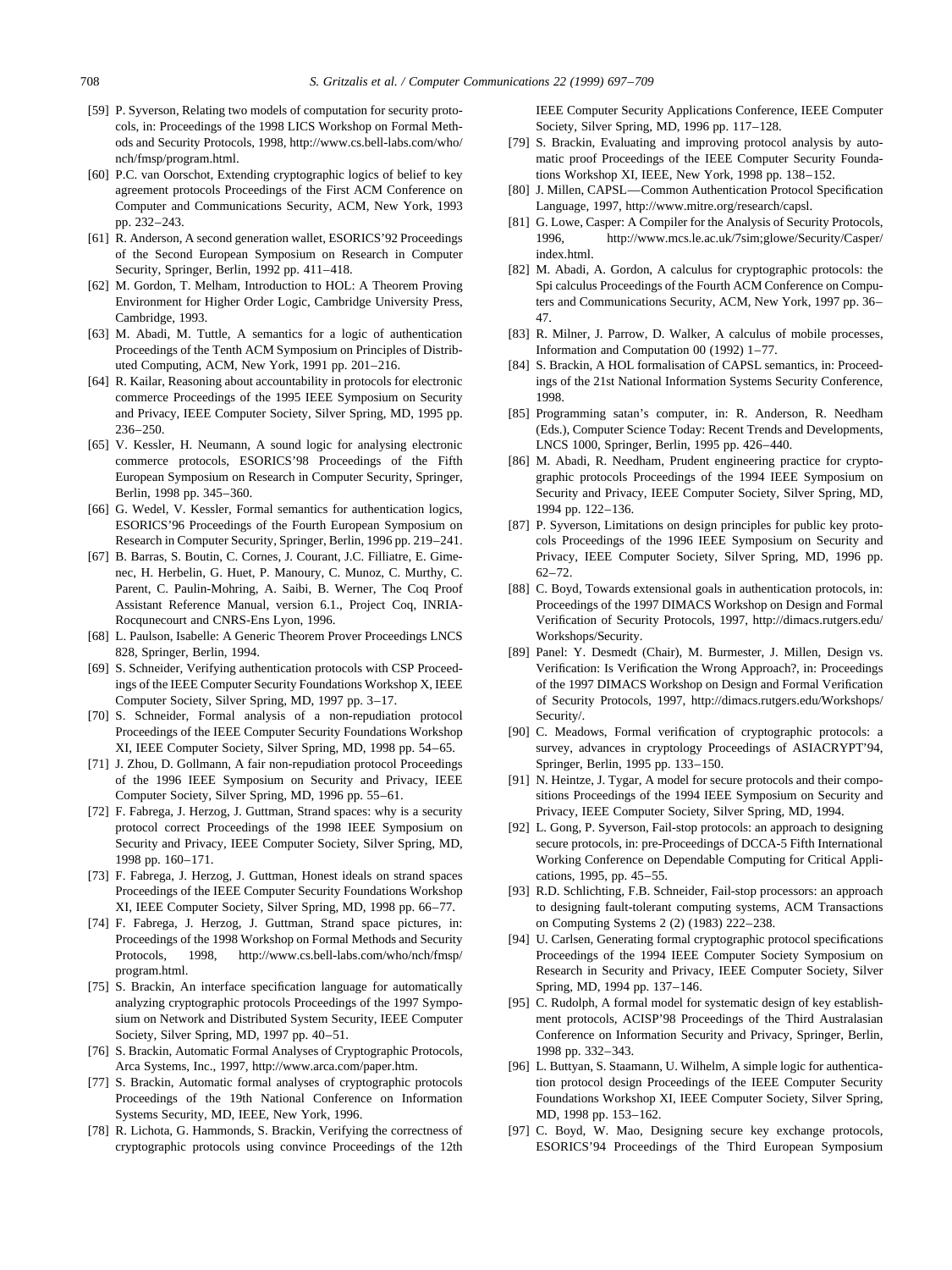- [59] P. Syverson, Relating two models of computation for security protocols, in: Proceedings of the 1998 LICS Workshop on Formal Methods and Security Protocols, 1998, http://www.cs.bell-labs.com/who/ nch/fmsp/program.html.
- [60] P.C. van Oorschot, Extending cryptographic logics of belief to key agreement protocols Proceedings of the First ACM Conference on Computer and Communications Security, ACM, New York, 1993 pp. 232–243.
- [61] R. Anderson, A second generation wallet, ESORICS'92 Proceedings of the Second European Symposium on Research in Computer Security, Springer, Berlin, 1992 pp. 411–418.
- [62] M. Gordon, T. Melham, Introduction to HOL: A Theorem Proving Environment for Higher Order Logic, Cambridge University Press, Cambridge, 1993.
- [63] M. Abadi, M. Tuttle, A semantics for a logic of authentication Proceedings of the Tenth ACM Symposium on Principles of Distributed Computing, ACM, New York, 1991 pp. 201–216.
- [64] R. Kailar, Reasoning about accountability in protocols for electronic commerce Proceedings of the 1995 IEEE Symposium on Security and Privacy, IEEE Computer Society, Silver Spring, MD, 1995 pp. 236–250.
- [65] V. Kessler, H. Neumann, A sound logic for analysing electronic commerce protocols, ESORICS'98 Proceedings of the Fifth European Symposium on Research in Computer Security, Springer, Berlin, 1998 pp. 345–360.
- [66] G. Wedel, V. Kessler, Formal semantics for authentication logics, ESORICS'96 Proceedings of the Fourth European Symposium on Research in Computer Security, Springer, Berlin, 1996 pp. 219–241.
- [67] B. Barras, S. Boutin, C. Cornes, J. Courant, J.C. Filliatre, E. Gimenec, H. Herbelin, G. Huet, P. Manoury, C. Munoz, C. Murthy, C. Parent, C. Paulin-Mohring, A. Saibi, B. Werner, The Coq Proof Assistant Reference Manual, version 6.1., Project Coq, INRIA-Rocqunecourt and CNRS-Ens Lyon, 1996.
- [68] L. Paulson, Isabelle: A Generic Theorem Prover Proceedings LNCS 828, Springer, Berlin, 1994.
- [69] S. Schneider, Verifying authentication protocols with CSP Proceedings of the IEEE Computer Security Foundations Workshop X, IEEE Computer Society, Silver Spring, MD, 1997 pp. 3–17.
- [70] S. Schneider, Formal analysis of a non-repudiation protocol Proceedings of the IEEE Computer Security Foundations Workshop XI, IEEE Computer Society, Silver Spring, MD, 1998 pp. 54–65.
- [71] J. Zhou, D. Gollmann, A fair non-repudiation protocol Proceedings of the 1996 IEEE Symposium on Security and Privacy, IEEE Computer Society, Silver Spring, MD, 1996 pp. 55–61.
- [72] F. Fabrega, J. Herzog, J. Guttman, Strand spaces: why is a security protocol correct Proceedings of the 1998 IEEE Symposium on Security and Privacy, IEEE Computer Society, Silver Spring, MD, 1998 pp. 160–171.
- [73] F. Fabrega, J. Herzog, J. Guttman, Honest ideals on strand spaces Proceedings of the IEEE Computer Security Foundations Workshop XI, IEEE Computer Society, Silver Spring, MD, 1998 pp. 66–77.
- [74] F. Fabrega, J. Herzog, J. Guttman, Strand space pictures, in: Proceedings of the 1998 Workshop on Formal Methods and Security Protocols, 1998, http://www.cs.bell-labs.com/who/nch/fmsp/ program.html.
- [75] S. Brackin, An interface specification language for automatically analyzing cryptographic protocols Proceedings of the 1997 Symposium on Network and Distributed System Security, IEEE Computer Society, Silver Spring, MD, 1997 pp. 40–51.
- [76] S. Brackin, Automatic Formal Analyses of Cryptographic Protocols, Arca Systems, Inc., 1997, http://www.arca.com/paper.htm.
- [77] S. Brackin, Automatic formal analyses of cryptographic protocols Proceedings of the 19th National Conference on Information Systems Security, MD, IEEE, New York, 1996.
- [78] R. Lichota, G. Hammonds, S. Brackin, Verifying the correctness of cryptographic protocols using convince Proceedings of the 12th

IEEE Computer Security Applications Conference, IEEE Computer Society, Silver Spring, MD, 1996 pp. 117–128.

- [79] S. Brackin, Evaluating and improving protocol analysis by automatic proof Proceedings of the IEEE Computer Security Foundations Workshop XI, IEEE, New York, 1998 pp. 138–152.
- [80] J. Millen, CAPSL—Common Authentication Protocol Specification Language, 1997, http://www.mitre.org/research/capsl.
- [81] G. Lowe, Casper: A Compiler for the Analysis of Security Protocols, 1996, http://www.mcs.le.ac.uk/7sim;glowe/Security/Casper/ index.html.
- [82] M. Abadi, A. Gordon, A calculus for cryptographic protocols: the Spi calculus Proceedings of the Fourth ACM Conference on Computers and Communications Security, ACM, New York, 1997 pp. 36– 47.
- [83] R. Milner, J. Parrow, D. Walker, A calculus of mobile processes, Information and Computation 00 (1992) 1–77.
- [84] S. Brackin, A HOL formalisation of CAPSL semantics, in: Proceedings of the 21st National Information Systems Security Conference, 1998.
- [85] Programming satan's computer, in: R. Anderson, R. Needham (Eds.), Computer Science Today: Recent Trends and Developments, LNCS 1000, Springer, Berlin, 1995 pp. 426–440.
- [86] M. Abadi, R. Needham, Prudent engineering practice for cryptographic protocols Proceedings of the 1994 IEEE Symposium on Security and Privacy, IEEE Computer Society, Silver Spring, MD, 1994 pp. 122–136.
- [87] P. Syverson, Limitations on design principles for public key protocols Proceedings of the 1996 IEEE Symposium on Security and Privacy, IEEE Computer Society, Silver Spring, MD, 1996 pp.  $62 - 72$
- [88] C. Boyd, Towards extensional goals in authentication protocols, in: Proceedings of the 1997 DIMACS Workshop on Design and Formal Verification of Security Protocols, 1997, http://dimacs.rutgers.edu/ Workshops/Security.
- [89] Panel: Y. Desmedt (Chair), M. Burmester, J. Millen, Design vs. Verification: Is Verification the Wrong Approach?, in: Proceedings of the 1997 DIMACS Workshop on Design and Formal Verification of Security Protocols, 1997, http://dimacs.rutgers.edu/Workshops/ Security/.
- [90] C. Meadows, Formal verification of cryptographic protocols: a survey, advances in cryptology Proceedings of ASIACRYPT'94, Springer, Berlin, 1995 pp. 133–150.
- [91] N. Heintze, J. Tygar, A model for secure protocols and their compositions Proceedings of the 1994 IEEE Symposium on Security and Privacy, IEEE Computer Society, Silver Spring, MD, 1994.
- [92] L. Gong, P. Syverson, Fail-stop protocols: an approach to designing secure protocols, in: pre-Proceedings of DCCA-5 Fifth International Working Conference on Dependable Computing for Critical Applications, 1995, pp. 45–55.
- [93] R.D. Schlichting, F.B. Schneider, Fail-stop processors: an approach to designing fault-tolerant computing systems, ACM Transactions on Computing Systems 2 (2) (1983) 222–238.
- [94] U. Carlsen, Generating formal cryptographic protocol specifications Proceedings of the 1994 IEEE Computer Society Symposium on Research in Security and Privacy, IEEE Computer Society, Silver Spring, MD, 1994 pp. 137–146.
- [95] C. Rudolph, A formal model for systematic design of key establishment protocols, ACISP'98 Proceedings of the Third Australasian Conference on Information Security and Privacy, Springer, Berlin, 1998 pp. 332–343.
- [96] L. Buttyan, S. Staamann, U. Wilhelm, A simple logic for authentication protocol design Proceedings of the IEEE Computer Security Foundations Workshop XI, IEEE Computer Society, Silver Spring, MD, 1998 pp. 153–162.
- [97] C. Boyd, W. Mao, Designing secure key exchange protocols, ESORICS'94 Proceedings of the Third European Symposium